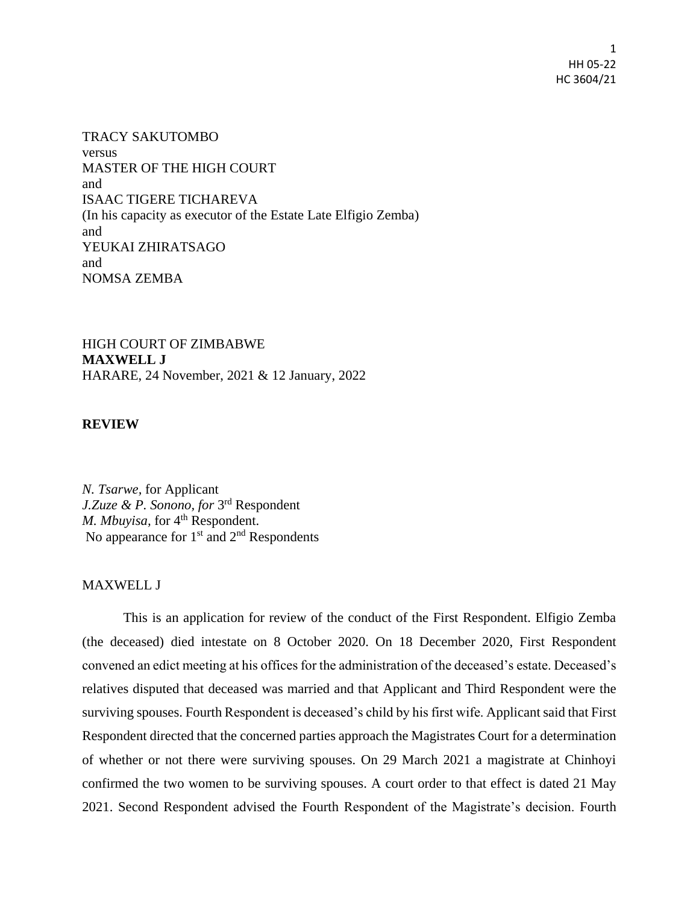1 HH 05-22 HC 3604/21

TRACY SAKUTOMBO versus MASTER OF THE HIGH COURT and ISAAC TIGERE TICHAREVA (In his capacity as executor of the Estate Late Elfigio Zemba) and YEUKAI ZHIRATSAGO and NOMSA ZEMBA

HIGH COURT OF ZIMBABWE **MAXWELL J** HARARE, 24 November, 2021 & 12 January, 2022

**REVIEW**

*N. Tsarwe,* for Applicant *J.Zuze & P. Sonono, for* 3 rd Respondent *M. Mbuyisa, for* 4<sup>th</sup> Respondent. No appearance for  $1<sup>st</sup>$  and  $2<sup>nd</sup>$  Respondents

## MAXWELL J

This is an application for review of the conduct of the First Respondent. Elfigio Zemba (the deceased) died intestate on 8 October 2020. On 18 December 2020, First Respondent convened an edict meeting at his offices for the administration of the deceased's estate. Deceased's relatives disputed that deceased was married and that Applicant and Third Respondent were the surviving spouses. Fourth Respondent is deceased's child by his first wife. Applicant said that First Respondent directed that the concerned parties approach the Magistrates Court for a determination of whether or not there were surviving spouses. On 29 March 2021 a magistrate at Chinhoyi confirmed the two women to be surviving spouses. A court order to that effect is dated 21 May 2021. Second Respondent advised the Fourth Respondent of the Magistrate's decision. Fourth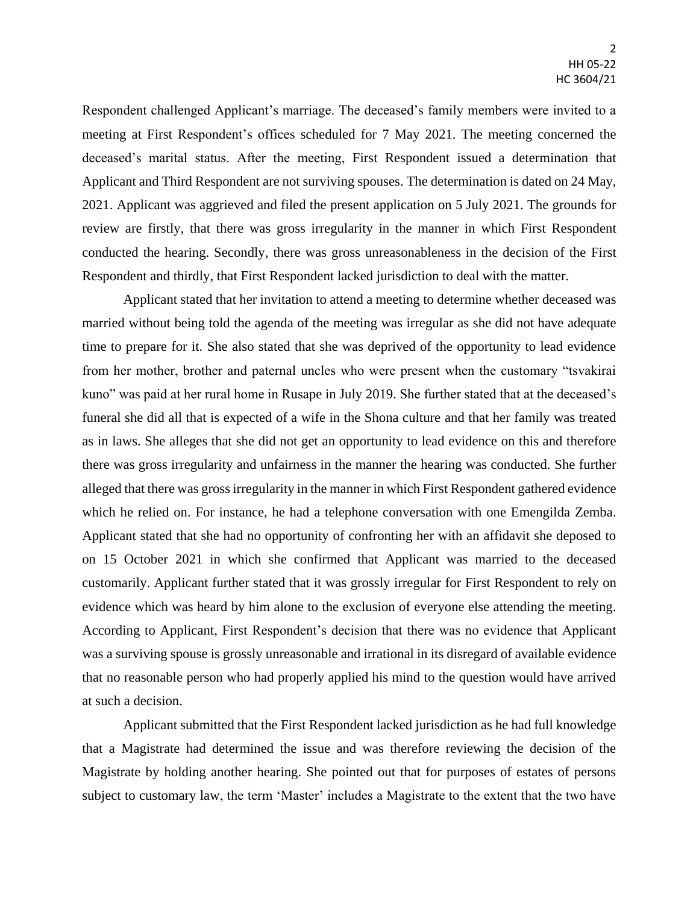Respondent challenged Applicant's marriage. The deceased's family members were invited to a meeting at First Respondent's offices scheduled for 7 May 2021. The meeting concerned the deceased's marital status. After the meeting, First Respondent issued a determination that Applicant and Third Respondent are not surviving spouses. The determination is dated on 24 May, 2021. Applicant was aggrieved and filed the present application on 5 July 2021. The grounds for review are firstly, that there was gross irregularity in the manner in which First Respondent conducted the hearing. Secondly, there was gross unreasonableness in the decision of the First Respondent and thirdly, that First Respondent lacked jurisdiction to deal with the matter.

Applicant stated that her invitation to attend a meeting to determine whether deceased was married without being told the agenda of the meeting was irregular as she did not have adequate time to prepare for it. She also stated that she was deprived of the opportunity to lead evidence from her mother, brother and paternal uncles who were present when the customary "tsvakirai kuno" was paid at her rural home in Rusape in July 2019. She further stated that at the deceased's funeral she did all that is expected of a wife in the Shona culture and that her family was treated as in laws. She alleges that she did not get an opportunity to lead evidence on this and therefore there was gross irregularity and unfairness in the manner the hearing was conducted. She further alleged that there was gross irregularity in the manner in which First Respondent gathered evidence which he relied on. For instance, he had a telephone conversation with one Emengilda Zemba. Applicant stated that she had no opportunity of confronting her with an affidavit she deposed to on 15 October 2021 in which she confirmed that Applicant was married to the deceased customarily. Applicant further stated that it was grossly irregular for First Respondent to rely on evidence which was heard by him alone to the exclusion of everyone else attending the meeting. According to Applicant, First Respondent's decision that there was no evidence that Applicant was a surviving spouse is grossly unreasonable and irrational in its disregard of available evidence that no reasonable person who had properly applied his mind to the question would have arrived at such a decision.

Applicant submitted that the First Respondent lacked jurisdiction as he had full knowledge that a Magistrate had determined the issue and was therefore reviewing the decision of the Magistrate by holding another hearing. She pointed out that for purposes of estates of persons subject to customary law, the term 'Master' includes a Magistrate to the extent that the two have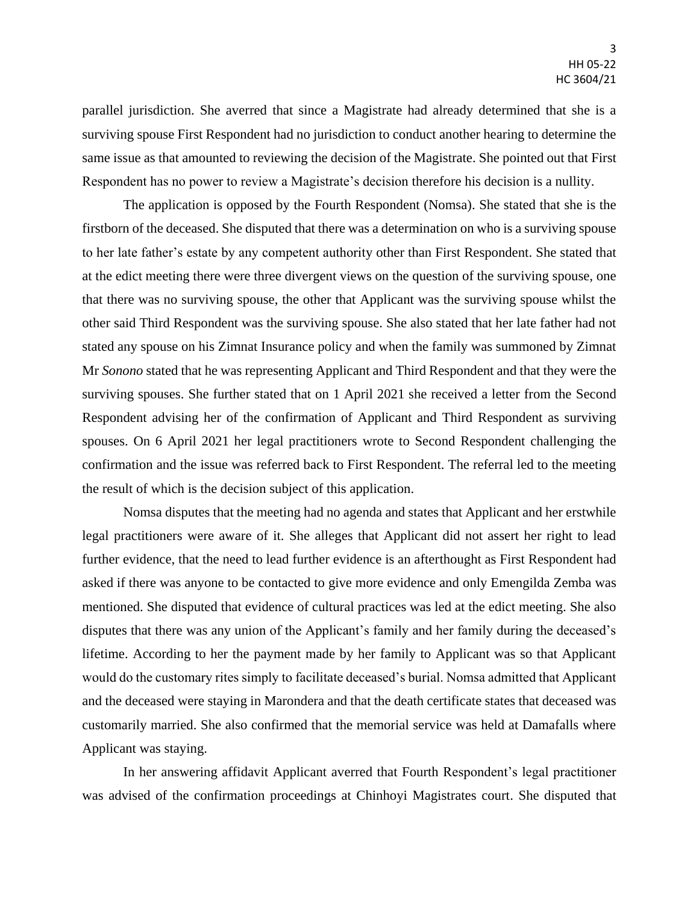parallel jurisdiction. She averred that since a Magistrate had already determined that she is a surviving spouse First Respondent had no jurisdiction to conduct another hearing to determine the same issue as that amounted to reviewing the decision of the Magistrate. She pointed out that First Respondent has no power to review a Magistrate's decision therefore his decision is a nullity.

The application is opposed by the Fourth Respondent (Nomsa). She stated that she is the firstborn of the deceased. She disputed that there was a determination on who is a surviving spouse to her late father's estate by any competent authority other than First Respondent. She stated that at the edict meeting there were three divergent views on the question of the surviving spouse, one that there was no surviving spouse, the other that Applicant was the surviving spouse whilst the other said Third Respondent was the surviving spouse. She also stated that her late father had not stated any spouse on his Zimnat Insurance policy and when the family was summoned by Zimnat Mr *Sonono* stated that he was representing Applicant and Third Respondent and that they were the surviving spouses. She further stated that on 1 April 2021 she received a letter from the Second Respondent advising her of the confirmation of Applicant and Third Respondent as surviving spouses. On 6 April 2021 her legal practitioners wrote to Second Respondent challenging the confirmation and the issue was referred back to First Respondent. The referral led to the meeting the result of which is the decision subject of this application.

Nomsa disputes that the meeting had no agenda and states that Applicant and her erstwhile legal practitioners were aware of it. She alleges that Applicant did not assert her right to lead further evidence, that the need to lead further evidence is an afterthought as First Respondent had asked if there was anyone to be contacted to give more evidence and only Emengilda Zemba was mentioned. She disputed that evidence of cultural practices was led at the edict meeting. She also disputes that there was any union of the Applicant's family and her family during the deceased's lifetime. According to her the payment made by her family to Applicant was so that Applicant would do the customary rites simply to facilitate deceased's burial. Nomsa admitted that Applicant and the deceased were staying in Marondera and that the death certificate states that deceased was customarily married. She also confirmed that the memorial service was held at Damafalls where Applicant was staying.

In her answering affidavit Applicant averred that Fourth Respondent's legal practitioner was advised of the confirmation proceedings at Chinhoyi Magistrates court. She disputed that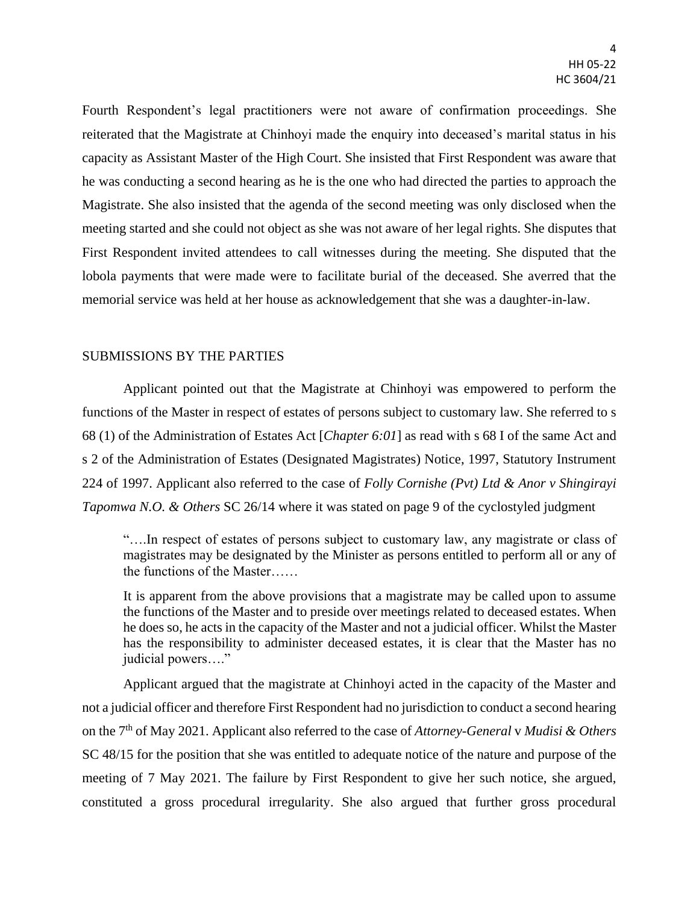Fourth Respondent's legal practitioners were not aware of confirmation proceedings. She reiterated that the Magistrate at Chinhoyi made the enquiry into deceased's marital status in his capacity as Assistant Master of the High Court. She insisted that First Respondent was aware that he was conducting a second hearing as he is the one who had directed the parties to approach the Magistrate. She also insisted that the agenda of the second meeting was only disclosed when the meeting started and she could not object as she was not aware of her legal rights. She disputes that First Respondent invited attendees to call witnesses during the meeting. She disputed that the lobola payments that were made were to facilitate burial of the deceased. She averred that the memorial service was held at her house as acknowledgement that she was a daughter-in-law.

## SUBMISSIONS BY THE PARTIES

Applicant pointed out that the Magistrate at Chinhoyi was empowered to perform the functions of the Master in respect of estates of persons subject to customary law. She referred to s 68 (1) of the Administration of Estates Act [*Chapter 6:01*] as read with s 68 I of the same Act and s 2 of the Administration of Estates (Designated Magistrates) Notice, 1997, Statutory Instrument 224 of 1997. Applicant also referred to the case of *Folly Cornishe (Pvt) Ltd & Anor v Shingirayi Tapomwa N.O. & Others* SC 26/14 where it was stated on page 9 of the cyclostyled judgment

"….In respect of estates of persons subject to customary law, any magistrate or class of magistrates may be designated by the Minister as persons entitled to perform all or any of the functions of the Master……

It is apparent from the above provisions that a magistrate may be called upon to assume the functions of the Master and to preside over meetings related to deceased estates. When he does so, he acts in the capacity of the Master and not a judicial officer. Whilst the Master has the responsibility to administer deceased estates, it is clear that the Master has no judicial powers…."

Applicant argued that the magistrate at Chinhoyi acted in the capacity of the Master and not a judicial officer and therefore First Respondent had no jurisdiction to conduct a second hearing on the 7th of May 2021. Applicant also referred to the case of *Attorney-General* v *Mudisi & Others* SC 48/15 for the position that she was entitled to adequate notice of the nature and purpose of the meeting of 7 May 2021. The failure by First Respondent to give her such notice, she argued, constituted a gross procedural irregularity. She also argued that further gross procedural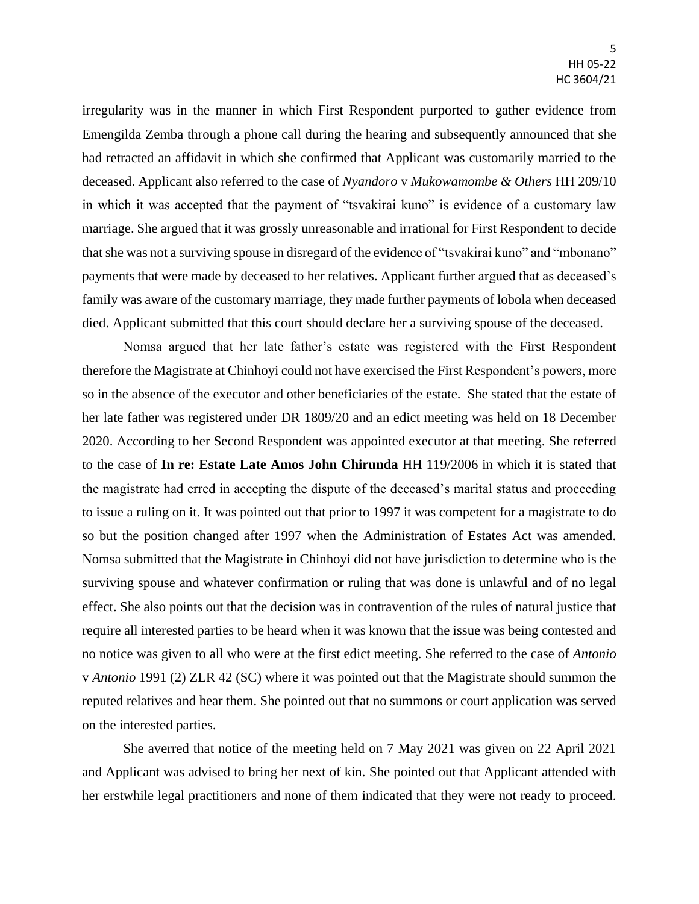irregularity was in the manner in which First Respondent purported to gather evidence from Emengilda Zemba through a phone call during the hearing and subsequently announced that she had retracted an affidavit in which she confirmed that Applicant was customarily married to the deceased. Applicant also referred to the case of *Nyandoro* v *Mukowamombe & Others* HH 209/10 in which it was accepted that the payment of "tsvakirai kuno" is evidence of a customary law marriage. She argued that it was grossly unreasonable and irrational for First Respondent to decide that she was not a surviving spouse in disregard of the evidence of "tsvakirai kuno" and "mbonano" payments that were made by deceased to her relatives. Applicant further argued that as deceased's family was aware of the customary marriage, they made further payments of lobola when deceased died. Applicant submitted that this court should declare her a surviving spouse of the deceased.

Nomsa argued that her late father's estate was registered with the First Respondent therefore the Magistrate at Chinhoyi could not have exercised the First Respondent's powers, more so in the absence of the executor and other beneficiaries of the estate. She stated that the estate of her late father was registered under DR 1809/20 and an edict meeting was held on 18 December 2020. According to her Second Respondent was appointed executor at that meeting. She referred to the case of **In re: Estate Late Amos John Chirunda** HH 119/2006 in which it is stated that the magistrate had erred in accepting the dispute of the deceased's marital status and proceeding to issue a ruling on it. It was pointed out that prior to 1997 it was competent for a magistrate to do so but the position changed after 1997 when the Administration of Estates Act was amended. Nomsa submitted that the Magistrate in Chinhoyi did not have jurisdiction to determine who is the surviving spouse and whatever confirmation or ruling that was done is unlawful and of no legal effect. She also points out that the decision was in contravention of the rules of natural justice that require all interested parties to be heard when it was known that the issue was being contested and no notice was given to all who were at the first edict meeting. She referred to the case of *Antonio*  v *Antonio* 1991 (2) ZLR 42 (SC) where it was pointed out that the Magistrate should summon the reputed relatives and hear them. She pointed out that no summons or court application was served on the interested parties.

She averred that notice of the meeting held on 7 May 2021 was given on 22 April 2021 and Applicant was advised to bring her next of kin. She pointed out that Applicant attended with her erstwhile legal practitioners and none of them indicated that they were not ready to proceed.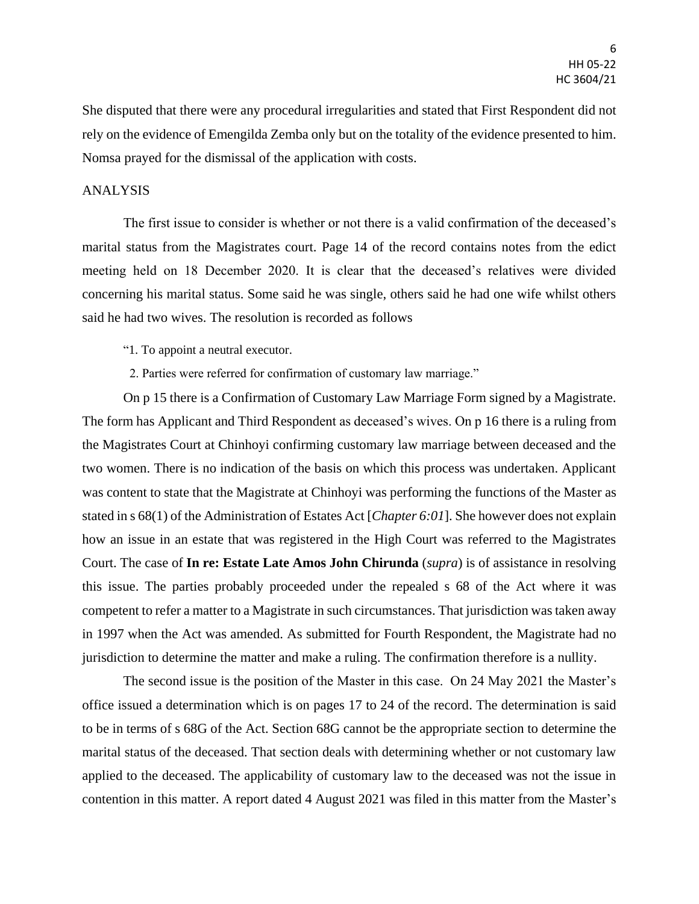She disputed that there were any procedural irregularities and stated that First Respondent did not rely on the evidence of Emengilda Zemba only but on the totality of the evidence presented to him. Nomsa prayed for the dismissal of the application with costs.

## ANALYSIS

The first issue to consider is whether or not there is a valid confirmation of the deceased's marital status from the Magistrates court. Page 14 of the record contains notes from the edict meeting held on 18 December 2020. It is clear that the deceased's relatives were divided concerning his marital status. Some said he was single, others said he had one wife whilst others said he had two wives. The resolution is recorded as follows

"1. To appoint a neutral executor.

2. Parties were referred for confirmation of customary law marriage."

On p 15 there is a Confirmation of Customary Law Marriage Form signed by a Magistrate. The form has Applicant and Third Respondent as deceased's wives. On p 16 there is a ruling from the Magistrates Court at Chinhoyi confirming customary law marriage between deceased and the two women. There is no indication of the basis on which this process was undertaken. Applicant was content to state that the Magistrate at Chinhoyi was performing the functions of the Master as stated in s 68(1) of the Administration of Estates Act [*Chapter 6:01*]. She however does not explain how an issue in an estate that was registered in the High Court was referred to the Magistrates Court. The case of **In re: Estate Late Amos John Chirunda** (*supra*) is of assistance in resolving this issue. The parties probably proceeded under the repealed s 68 of the Act where it was competent to refer a matter to a Magistrate in such circumstances. That jurisdiction was taken away in 1997 when the Act was amended. As submitted for Fourth Respondent, the Magistrate had no jurisdiction to determine the matter and make a ruling. The confirmation therefore is a nullity.

The second issue is the position of the Master in this case. On 24 May 2021 the Master's office issued a determination which is on pages 17 to 24 of the record. The determination is said to be in terms of s 68G of the Act. Section 68G cannot be the appropriate section to determine the marital status of the deceased. That section deals with determining whether or not customary law applied to the deceased. The applicability of customary law to the deceased was not the issue in contention in this matter. A report dated 4 August 2021 was filed in this matter from the Master's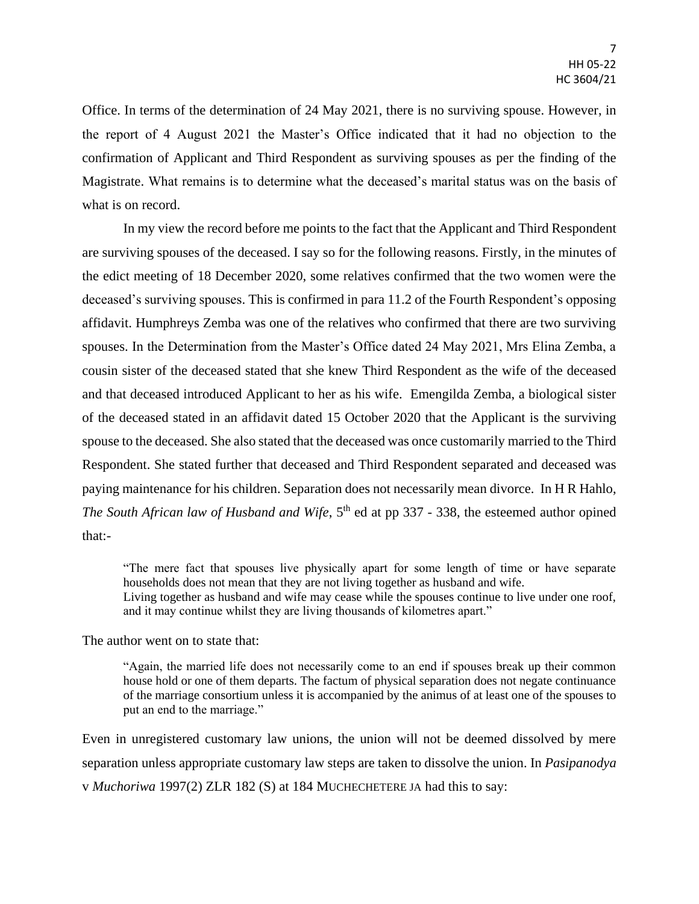Office. In terms of the determination of 24 May 2021, there is no surviving spouse. However, in the report of 4 August 2021 the Master's Office indicated that it had no objection to the confirmation of Applicant and Third Respondent as surviving spouses as per the finding of the Magistrate. What remains is to determine what the deceased's marital status was on the basis of what is on record.

In my view the record before me points to the fact that the Applicant and Third Respondent are surviving spouses of the deceased. I say so for the following reasons. Firstly, in the minutes of the edict meeting of 18 December 2020, some relatives confirmed that the two women were the deceased's surviving spouses. This is confirmed in para 11.2 of the Fourth Respondent's opposing affidavit. Humphreys Zemba was one of the relatives who confirmed that there are two surviving spouses. In the Determination from the Master's Office dated 24 May 2021, Mrs Elina Zemba, a cousin sister of the deceased stated that she knew Third Respondent as the wife of the deceased and that deceased introduced Applicant to her as his wife. Emengilda Zemba, a biological sister of the deceased stated in an affidavit dated 15 October 2020 that the Applicant is the surviving spouse to the deceased. She also stated that the deceased was once customarily married to the Third Respondent. She stated further that deceased and Third Respondent separated and deceased was paying maintenance for his children. Separation does not necessarily mean divorce. In H R Hahlo, *The South African law of Husband and Wife*, 5<sup>th</sup> ed at pp 337 - 338, the esteemed author opined that:-

"The mere fact that spouses live physically apart for some length of time or have separate households does not mean that they are not living together as husband and wife. Living together as husband and wife may cease while the spouses continue to live under one roof, and it may continue whilst they are living thousands of kilometres apart."

The author went on to state that:

"Again, the married life does not necessarily come to an end if spouses break up their common house hold or one of them departs. The factum of physical separation does not negate continuance of the marriage consortium unless it is accompanied by the animus of at least one of the spouses to put an end to the marriage."

Even in unregistered customary law unions, the union will not be deemed dissolved by mere separation unless appropriate customary law steps are taken to dissolve the union. In *Pasipanodya* v *Muchoriwa* 1997(2) ZLR 182 (S) at 184 MUCHECHETERE JA had this to say: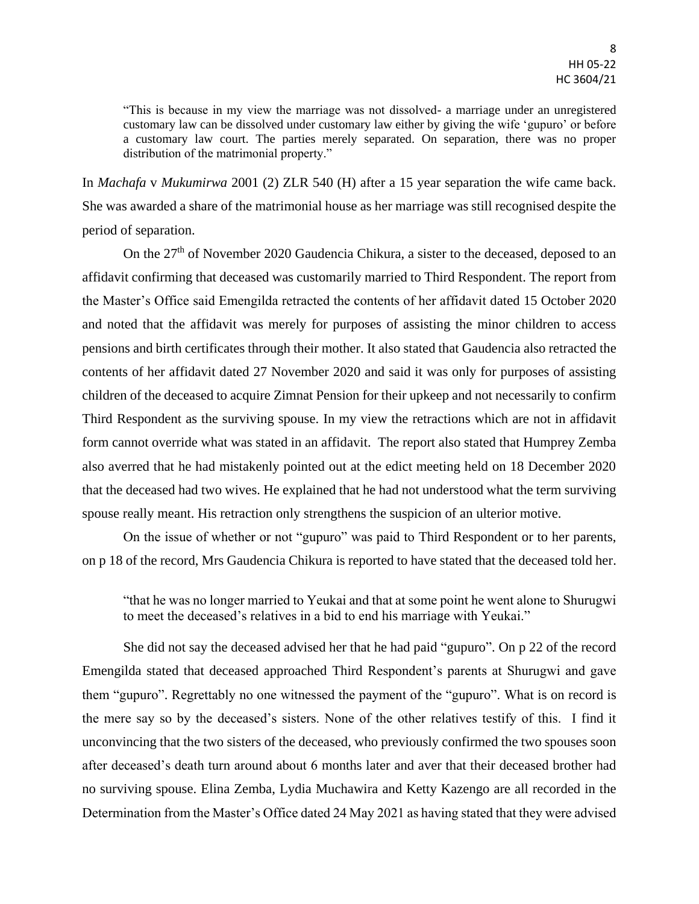"This is because in my view the marriage was not dissolved- a marriage under an unregistered customary law can be dissolved under customary law either by giving the wife 'gupuro' or before a customary law court. The parties merely separated. On separation, there was no proper distribution of the matrimonial property."

In *Machafa* v *Mukumirwa* 2001 (2) ZLR 540 (H) after a 15 year separation the wife came back. She was awarded a share of the matrimonial house as her marriage was still recognised despite the period of separation.

On the 27<sup>th</sup> of November 2020 Gaudencia Chikura, a sister to the deceased, deposed to an affidavit confirming that deceased was customarily married to Third Respondent. The report from the Master's Office said Emengilda retracted the contents of her affidavit dated 15 October 2020 and noted that the affidavit was merely for purposes of assisting the minor children to access pensions and birth certificates through their mother. It also stated that Gaudencia also retracted the contents of her affidavit dated 27 November 2020 and said it was only for purposes of assisting children of the deceased to acquire Zimnat Pension for their upkeep and not necessarily to confirm Third Respondent as the surviving spouse. In my view the retractions which are not in affidavit form cannot override what was stated in an affidavit. The report also stated that Humprey Zemba also averred that he had mistakenly pointed out at the edict meeting held on 18 December 2020 that the deceased had two wives. He explained that he had not understood what the term surviving spouse really meant. His retraction only strengthens the suspicion of an ulterior motive.

On the issue of whether or not "gupuro" was paid to Third Respondent or to her parents, on p 18 of the record, Mrs Gaudencia Chikura is reported to have stated that the deceased told her.

"that he was no longer married to Yeukai and that at some point he went alone to Shurugwi to meet the deceased's relatives in a bid to end his marriage with Yeukai."

She did not say the deceased advised her that he had paid "gupuro". On p 22 of the record Emengilda stated that deceased approached Third Respondent's parents at Shurugwi and gave them "gupuro". Regrettably no one witnessed the payment of the "gupuro". What is on record is the mere say so by the deceased's sisters. None of the other relatives testify of this. I find it unconvincing that the two sisters of the deceased, who previously confirmed the two spouses soon after deceased's death turn around about 6 months later and aver that their deceased brother had no surviving spouse. Elina Zemba, Lydia Muchawira and Ketty Kazengo are all recorded in the Determination from the Master's Office dated 24 May 2021 as having stated that they were advised